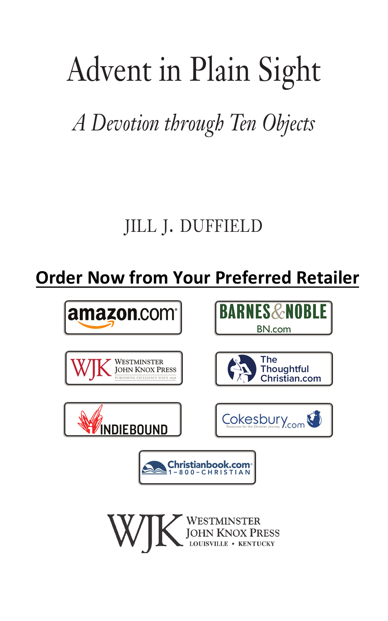# Advent in Plain Sight

*A Devotion through Ten Objects*

# jill j. duffield

# **Order Now from Your Preferred Retailer**

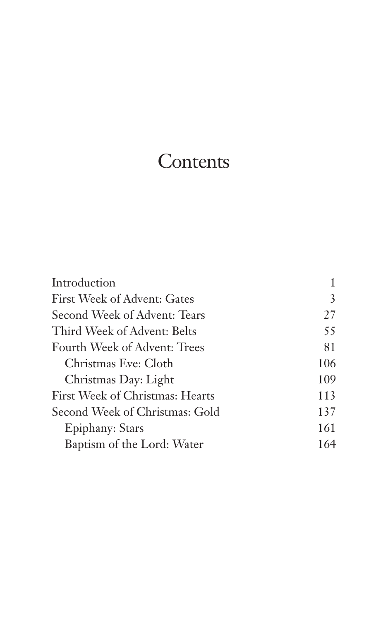# **Contents**

| Introduction                       |     |
|------------------------------------|-----|
| <b>First Week of Advent: Gates</b> | 3   |
| Second Week of Advent: Tears       | 27  |
| Third Week of Advent: Belts        | 55  |
| Fourth Week of Advent: Trees       | 81  |
| Christmas Eve: Cloth               | 106 |
| Christmas Day: Light               | 109 |
| First Week of Christmas: Hearts    | 113 |
| Second Week of Christmas: Gold     | 137 |
| <b>Epiphany: Stars</b>             | 161 |
| Baptism of the Lord: Water         | 164 |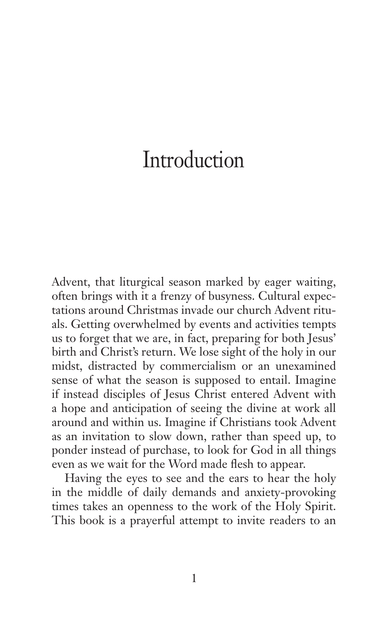# Introduction

Advent, that liturgical season marked by eager waiting, often brings with it a frenzy of busyness. Cultural expectations around Christmas invade our church Advent rituals. Getting overwhelmed by events and activities tempts us to forget that we are, in fact, preparing for both Jesus' birth and Christ's return. We lose sight of the holy in our midst, distracted by commercialism or an unexamined sense of what the season is supposed to entail. Imagine if instead disciples of Jesus Christ entered Advent with a hope and anticipation of seeing the divine at work all around and within us. Imagine if Christians took Advent as an invitation to slow down, rather than speed up, to ponder instead of purchase, to look for God in all things even as we wait for the Word made flesh to appear.

Having the eyes to see and the ears to hear the holy in the middle of daily demands and anxiety-provoking times takes an openness to the work of the Holy Spirit. This book is a prayerful attempt to invite readers to an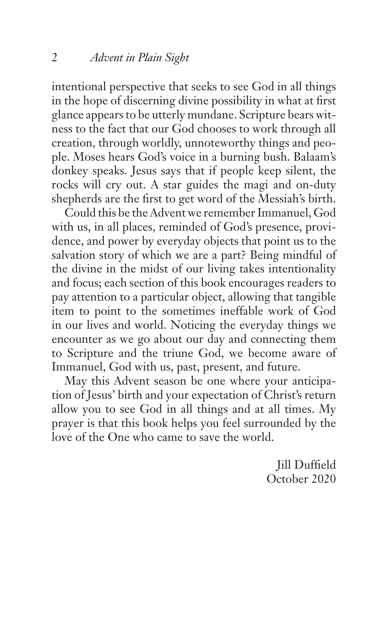intentional perspective that seeks to see God in all things in the hope of discerning divine possibility in what at first glance appears to be utterly mundane. Scripture bears witness to the fact that our God chooses to work through all creation, through worldly, unnoteworthy things and people. Moses hears God's voice in a burning bush. Balaam's donkey speaks. Jesus says that if people keep silent, the rocks will cry out. A star guides the magi and on-duty shepherds are the first to get word of the Messiah's birth.

Could this be the Advent we remember Immanuel, God with us, in all places, reminded of God's presence, providence, and power by everyday objects that point us to the salvation story of which we are a part? Being mindful of the divine in the midst of our living takes intentionality and focus; each section of this book encourages readers to pay attention to a particular object, allowing that tangible item to point to the sometimes ineffable work of God in our lives and world. Noticing the everyday things we encounter as we go about our day and connecting them to Scripture and the triune God, we become aware of Immanuel, God with us, past, present, and future.

May this Advent season be one where your anticipation of Jesus' birth and your expectation of Christ's return allow you to see God in all things and at all times. My prayer is that this book helps you feel surrounded by the love of the One who came to save the world.

> Jill Duffield October 2020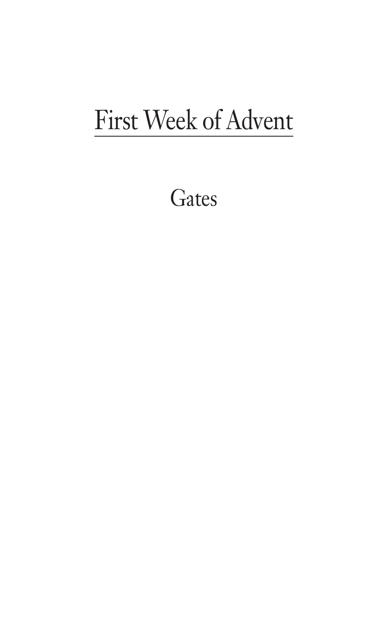# First Week of Advent

# **Gates**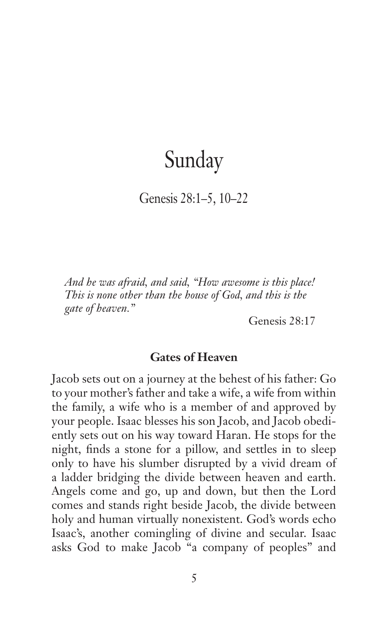# Sunday

Genesis 28:1–5, 10–22

*And he was afraid, and said, "How awesome is this place! This is none other than the house of God, and this is the gate of heaven."* 

Genesis 28:17

#### **Gates of Heaven**

Jacob sets out on a journey at the behest of his father: Go to your mother's father and take a wife, a wife from within the family, a wife who is a member of and approved by your people. Isaac blesses his son Jacob, and Jacob obediently sets out on his way toward Haran. He stops for the night, finds a stone for a pillow, and settles in to sleep only to have his slumber disrupted by a vivid dream of a ladder bridging the divide between heaven and earth. Angels come and go, up and down, but then the Lord comes and stands right beside Jacob, the divide between holy and human virtually nonexistent. God's words echo Isaac's, another comingling of divine and secular. Isaac asks God to make Jacob "a company of peoples" and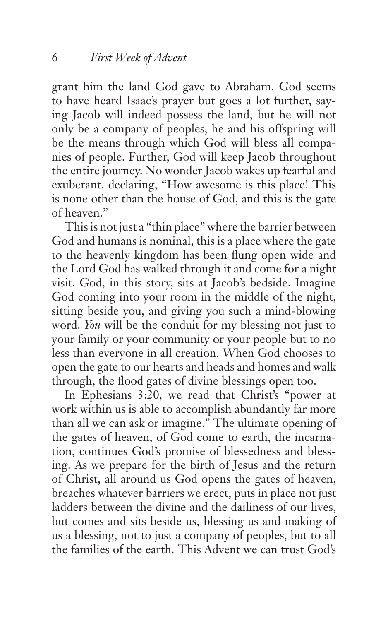grant him the land God gave to Abraham. God seems to have heard Isaac's prayer but goes a lot further, saying Jacob will indeed possess the land, but he will not only be a company of peoples, he and his offspring will be the means through which God will bless all companies of people. Further, God will keep Jacob throughout the entire journey. No wonder Jacob wakes up fearful and exuberant, declaring, "How awesome is this place! This is none other than the house of God, and this is the gate of heaven."

This is not just a "thin place" where the barrier between God and humans is nominal, this is a place where the gate to the heavenly kingdom has been flung open wide and the Lord God has walked through it and come for a night visit. God, in this story, sits at Jacob's bedside. Imagine God coming into your room in the middle of the night, sitting beside you, and giving you such a mind-blowing word. *You* will be the conduit for my blessing not just to your family or your community or your people but to no less than everyone in all creation. When God chooses to open the gate to our hearts and heads and homes and walk through, the flood gates of divine blessings open too.

In Ephesians 3:20, we read that Christ's "power at work within us is able to accomplish abundantly far more than all we can ask or imagine." The ultimate opening of the gates of heaven, of God come to earth, the incarnation, continues God's promise of blessedness and blessing. As we prepare for the birth of Jesus and the return of Christ, all around us God opens the gates of heaven, breaches whatever barriers we erect, puts in place not just ladders between the divine and the dailiness of our lives, but comes and sits beside us, blessing us and making of us a blessing, not to just a company of peoples, but to all the families of the earth. This Advent we can trust God's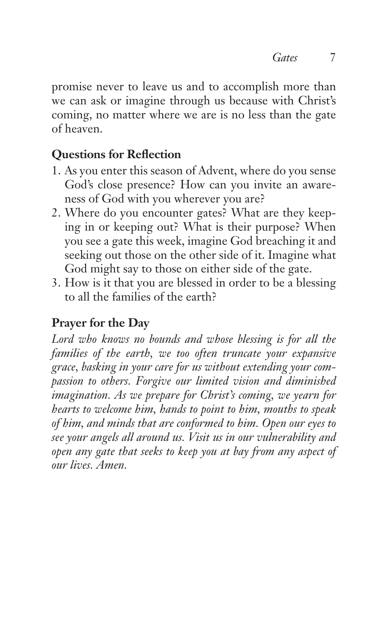promise never to leave us and to accomplish more than we can ask or imagine through us because with Christ's coming, no matter where we are is no less than the gate of heaven.

#### **Questions for Reflection**

- 1. As you enter this season of Advent, where do you sense God's close presence? How can you invite an awareness of God with you wherever you are?
- 2. Where do you encounter gates? What are they keeping in or keeping out? What is their purpose? When you see a gate this week, imagine God breaching it and seeking out those on the other side of it. Imagine what God might say to those on either side of the gate.
- 3. How is it that you are blessed in order to be a blessing to all the families of the earth?

#### **Prayer for the Day**

*Lord who knows no bounds and whose blessing is for all the families of the earth, we too often truncate your expansive grace, basking in your care for us without extending your compassion to others. Forgive our limited vision and diminished imagination. As we prepare for Christ's coming, we yearn for hearts to welcome him, hands to point to him, mouths to speak of him, and minds that are conformed to him. Open our eyes to see your angels all around us. Visit us in our vulnerability and open any gate that seeks to keep you at bay from any aspect of our lives. Amen.*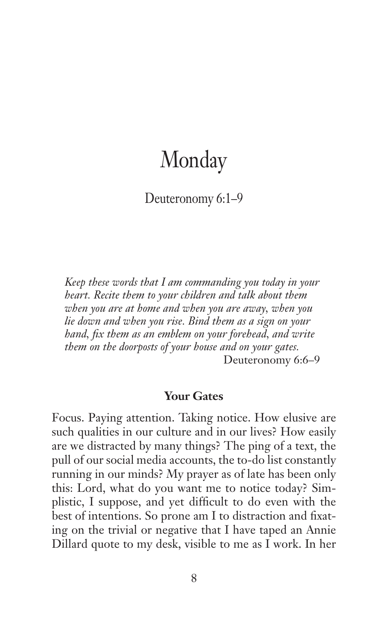# Monday

#### Deuteronomy 6:1–9

*Keep these words that I am commanding you today in your heart. Recite them to your children and talk about them when you are at home and when you are away, when you lie down and when you rise. Bind them as a sign on your hand, fix them as an emblem on your forehead, and write them on the doorposts of your house and on your gates.*  Deuteronomy 6:6–9

#### **Your Gates**

Focus. Paying attention. Taking notice. How elusive are such qualities in our culture and in our lives? How easily are we distracted by many things? The ping of a text, the pull of our social media accounts, the to-do list constantly running in our minds? My prayer as of late has been only this: Lord, what do you want me to notice today? Simplistic, I suppose, and yet difficult to do even with the best of intentions. So prone am I to distraction and fixating on the trivial or negative that I have taped an Annie Dillard quote to my desk, visible to me as I work. In her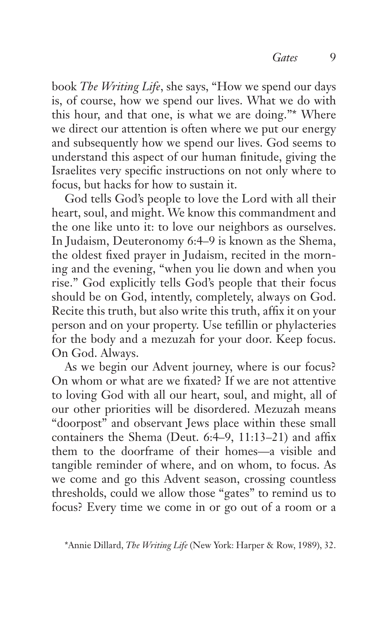book *The Writing Life*, she says, "How we spend our days is, of course, how we spend our lives. What we do with this hour, and that one, is what we are doing."\* Where we direct our attention is often where we put our energy and subsequently how we spend our lives. God seems to understand this aspect of our human finitude, giving the Israelites very specific instructions on not only where to focus, but hacks for how to sustain it.

God tells God's people to love the Lord with all their heart, soul, and might. We know this commandment and the one like unto it: to love our neighbors as ourselves. In Judaism, Deuteronomy 6:4–9 is known as the Shema, the oldest fixed prayer in Judaism, recited in the morning and the evening, "when you lie down and when you rise." God explicitly tells God's people that their focus should be on God, intently, completely, always on God. Recite this truth, but also write this truth, affix it on your person and on your property. Use tefillin or phylacteries for the body and a mezuzah for your door. Keep focus. On God. Always.

As we begin our Advent journey, where is our focus? On whom or what are we fixated? If we are not attentive to loving God with all our heart, soul, and might, all of our other priorities will be disordered. Mezuzah means "doorpost" and observant Jews place within these small containers the Shema (Deut. 6:4–9, 11:13–21) and affix them to the doorframe of their homes—a visible and tangible reminder of where, and on whom, to focus. As we come and go this Advent season, crossing countless thresholds, could we allow those "gates" to remind us to focus? Every time we come in or go out of a room or a

<sup>\*</sup>Annie Dillard, *The Writing Life* (New York: Harper & Row, 1989), 32.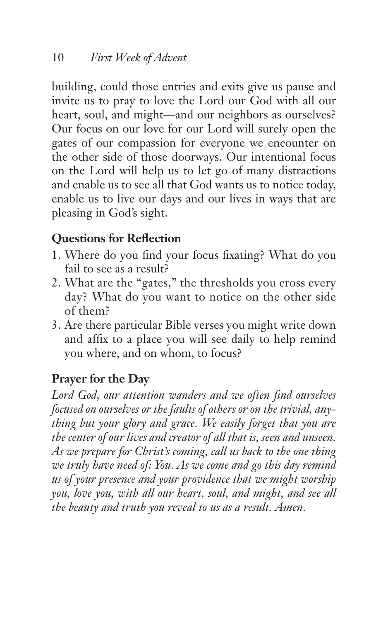building, could those entries and exits give us pause and invite us to pray to love the Lord our God with all our heart, soul, and might—and our neighbors as ourselves? Our focus on our love for our Lord will surely open the gates of our compassion for everyone we encounter on the other side of those doorways. Our intentional focus on the Lord will help us to let go of many distractions and enable us to see all that God wants us to notice today, enable us to live our days and our lives in ways that are pleasing in God's sight.

#### **Questions for Reflection**

- 1. Where do you find your focus fixating? What do you fail to see as a result?
- 2. What are the "gates," the thresholds you cross every day? What do you want to notice on the other side of them?
- 3. Are there particular Bible verses you might write down and affix to a place you will see daily to help remind you where, and on whom, to focus?

#### **Prayer for the Day**

*Lord God, our attention wanders and we often find ourselves focused on ourselves or the faults of others or on the trivial, anything but your glory and grace. We easily forget that you are the center of our lives and creator of all that is, seen and unseen. As we prepare for Christ's coming, call us back to the one thing we truly have need of: You. As we come and go this day remind us of your presence and your providence that we might worship you, love you, with all our heart, soul, and might, and see all the beauty and truth you reveal to us as a result. Amen.*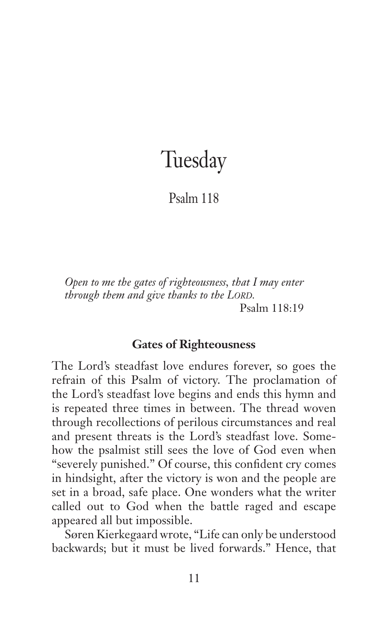# Tuesday

#### Psalm 118

*Open to me the gates of righteousness, that I may enter through them and give thanks to the Lord.*  Psalm 118:19

#### **Gates of Righteousness**

The Lord's steadfast love endures forever, so goes the refrain of this Psalm of victory. The proclamation of the Lord's steadfast love begins and ends this hymn and is repeated three times in between. The thread woven through recollections of perilous circumstances and real and present threats is the Lord's steadfast love. Somehow the psalmist still sees the love of God even when "severely punished." Of course, this confident cry comes in hindsight, after the victory is won and the people are set in a broad, safe place. One wonders what the writer called out to God when the battle raged and escape appeared all but impossible.

Søren Kierkegaard wrote, "Life can only be understood backwards; but it must be lived forwards." Hence, that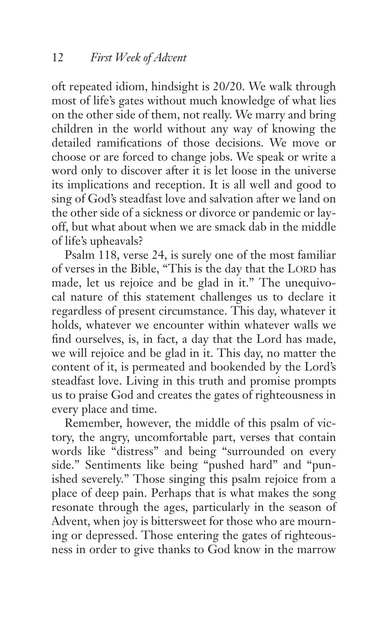oft repeated idiom, hindsight is 20/20. We walk through most of life's gates without much knowledge of what lies on the other side of them, not really. We marry and bring children in the world without any way of knowing the detailed ramifications of those decisions. We move or choose or are forced to change jobs. We speak or write a word only to discover after it is let loose in the universe its implications and reception. It is all well and good to sing of God's steadfast love and salvation after we land on the other side of a sickness or divorce or pandemic or layoff, but what about when we are smack dab in the middle of life's upheavals?

Psalm 118, verse 24, is surely one of the most familiar of verses in the Bible, "This is the day that the LORD has made, let us rejoice and be glad in it." The unequivocal nature of this statement challenges us to declare it regardless of present circumstance. This day, whatever it holds, whatever we encounter within whatever walls we find ourselves, is, in fact, a day that the Lord has made, we will rejoice and be glad in it. This day, no matter the content of it, is permeated and bookended by the Lord's steadfast love. Living in this truth and promise prompts us to praise God and creates the gates of righteousness in every place and time.

Remember, however, the middle of this psalm of victory, the angry, uncomfortable part, verses that contain words like "distress" and being "surrounded on every side." Sentiments like being "pushed hard" and "punished severely." Those singing this psalm rejoice from a place of deep pain. Perhaps that is what makes the song resonate through the ages, particularly in the season of Advent, when joy is bittersweet for those who are mourning or depressed. Those entering the gates of righteousness in order to give thanks to God know in the marrow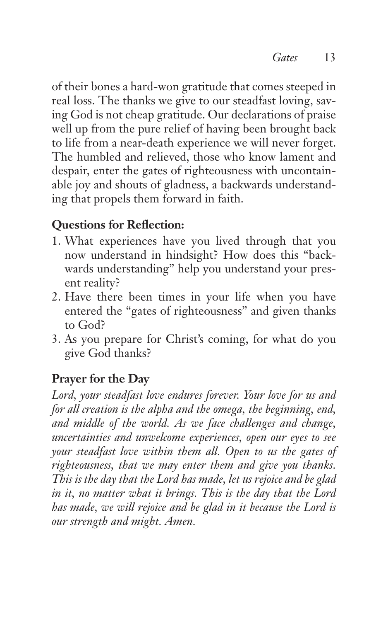of their bones a hard-won gratitude that comes steeped in real loss. The thanks we give to our steadfast loving, saving God is not cheap gratitude. Our declarations of praise well up from the pure relief of having been brought back to life from a near-death experience we will never forget. The humbled and relieved, those who know lament and despair, enter the gates of righteousness with uncontainable joy and shouts of gladness, a backwards understanding that propels them forward in faith.

#### **Questions for Reflection:**

- 1. What experiences have you lived through that you now understand in hindsight? How does this "backwards understanding" help you understand your present reality?
- 2. Have there been times in your life when you have entered the "gates of righteousness" and given thanks to God?
- 3. As you prepare for Christ's coming, for what do you give God thanks?

#### **Prayer for the Day**

*Lord, your steadfast love endures forever. Your love for us and for all creation is the alpha and the omega, the beginning, end, and middle of the world. As we face challenges and change, uncertainties and unwelcome experiences, open our eyes to see your steadfast love within them all. Open to us the gates of righteousness, that we may enter them and give you thanks. This is the day that the Lord has made, let us rejoice and be glad in it, no matter what it brings. This is the day that the Lord has made, we will rejoice and be glad in it because the Lord is our strength and might. Amen.*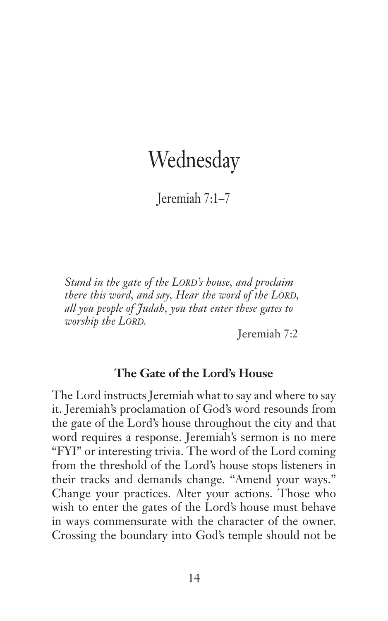# **Wednesday**

Jeremiah 7:1–7

*Stand in the gate of the Lord's house, and proclaim there this word, and say, Hear the word of the LORD, all you people of Judah, you that enter these gates to worship the LORD.* 

Jeremiah 7:2

#### **The Gate of the Lord's House**

The Lord instructs Jeremiah what to say and where to say it. Jeremiah's proclamation of God's word resounds from the gate of the Lord's house throughout the city and that word requires a response. Jeremiah's sermon is no mere "FYI" or interesting trivia. The word of the Lord coming from the threshold of the Lord's house stops listeners in their tracks and demands change. "Amend your ways." Change your practices. Alter your actions. Those who wish to enter the gates of the Lord's house must behave in ways commensurate with the character of the owner. Crossing the boundary into God's temple should not be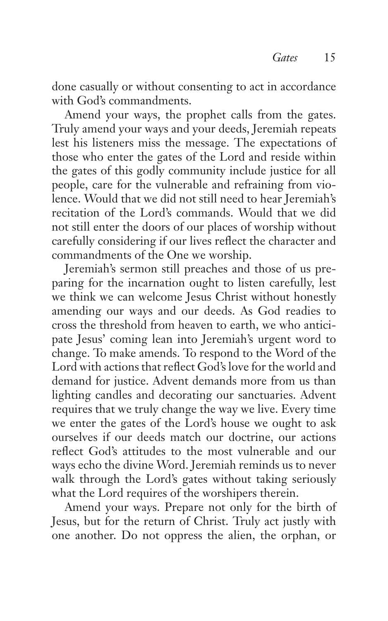done casually or without consenting to act in accordance with God's commandments.

Amend your ways, the prophet calls from the gates. Truly amend your ways and your deeds, Jeremiah repeats lest his listeners miss the message. The expectations of those who enter the gates of the Lord and reside within the gates of this godly community include justice for all people, care for the vulnerable and refraining from violence. Would that we did not still need to hear Jeremiah's recitation of the Lord's commands. Would that we did not still enter the doors of our places of worship without carefully considering if our lives reflect the character and commandments of the One we worship.

Jeremiah's sermon still preaches and those of us preparing for the incarnation ought to listen carefully, lest we think we can welcome Jesus Christ without honestly amending our ways and our deeds. As God readies to cross the threshold from heaven to earth, we who anticipate Jesus' coming lean into Jeremiah's urgent word to change. To make amends. To respond to the Word of the Lord with actions that reflect God's love for the world and demand for justice. Advent demands more from us than lighting candles and decorating our sanctuaries. Advent requires that we truly change the way we live. Every time we enter the gates of the Lord's house we ought to ask ourselves if our deeds match our doctrine, our actions reflect God's attitudes to the most vulnerable and our ways echo the divine Word. Jeremiah reminds us to never walk through the Lord's gates without taking seriously what the Lord requires of the worshipers therein.

Amend your ways. Prepare not only for the birth of Jesus, but for the return of Christ. Truly act justly with one another. Do not oppress the alien, the orphan, or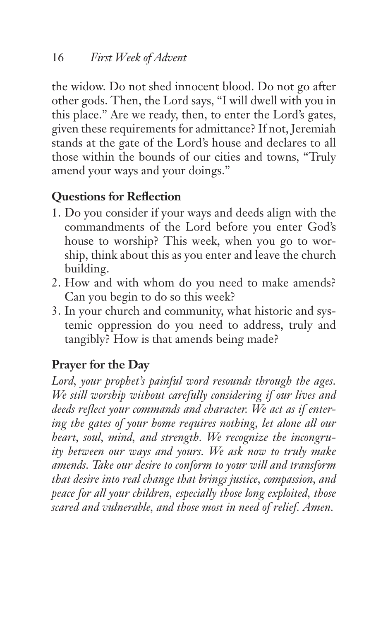the widow. Do not shed innocent blood. Do not go after other gods. Then, the Lord says, "I will dwell with you in this place." Are we ready, then, to enter the Lord's gates, given these requirements for admittance? If not, Jeremiah stands at the gate of the Lord's house and declares to all those within the bounds of our cities and towns, "Truly amend your ways and your doings."

#### **Questions for Reflection**

- 1. Do you consider if your ways and deeds align with the commandments of the Lord before you enter God's house to worship? This week, when you go to worship, think about this as you enter and leave the church building.
- 2. How and with whom do you need to make amends? Can you begin to do so this week?
- 3. In your church and community, what historic and systemic oppression do you need to address, truly and tangibly? How is that amends being made?

#### **Prayer for the Day**

*Lord, your prophet's painful word resounds through the ages. We still worship without carefully considering if our lives and deeds reflect your commands and character. We act as if entering the gates of your home requires nothing, let alone all our heart, soul, mind, and strength. We recognize the incongruity between our ways and yours. We ask now to truly make amends. Take our desire to conform to your will and transform that desire into real change that brings justice, compassion, and peace for all your children, especially those long exploited, those scared and vulnerable, and those most in need of relief. Amen.*